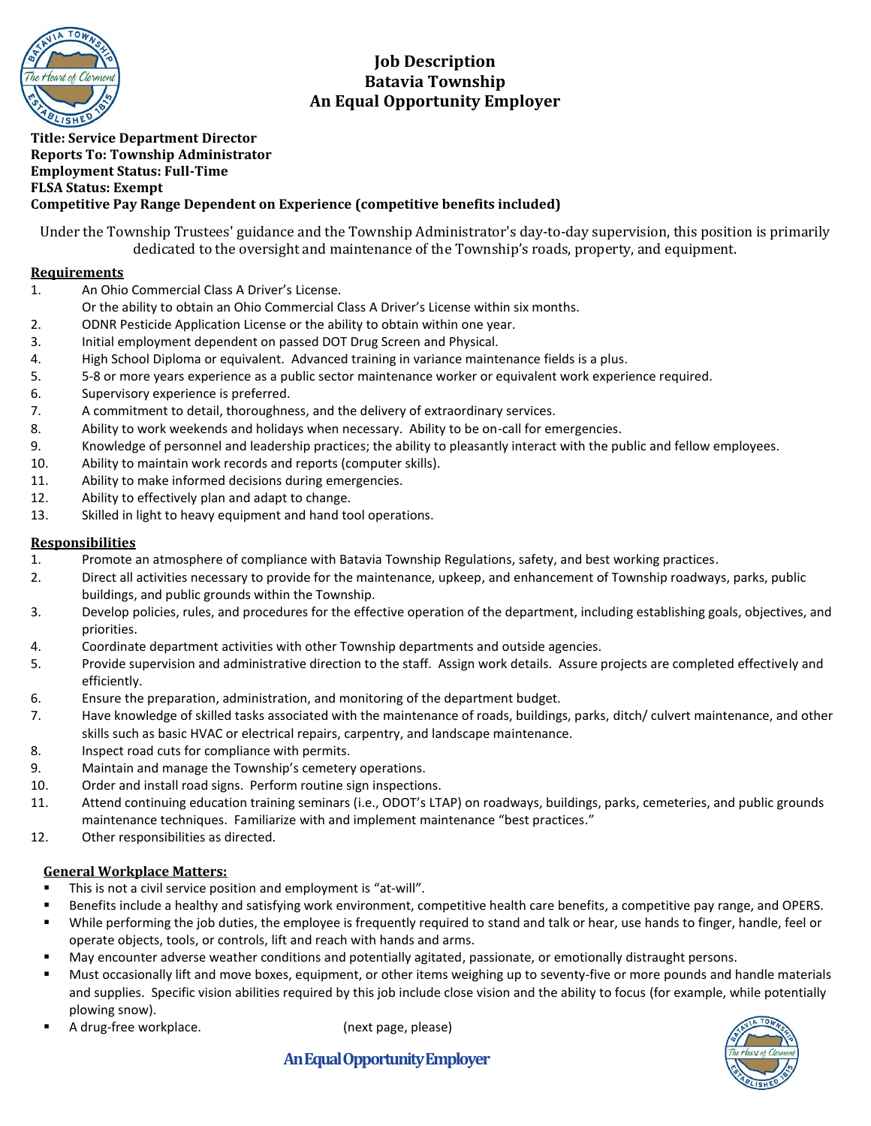

# **Job Description Batavia Township An Equal Opportunity Employer**

### **Title: Service Department Director Reports To: Township Administrator Employment Status: Full-Time FLSA Status: Exempt Competitive Pay Range Dependent on Experience (competitive benefits included)**

Under the Township Trustees' guidance and the Township Administrator's day-to-day supervision, this position is primarily dedicated to the oversight and maintenance of the Township's roads, property, and equipment.

## **Requirements**

- 1. An Ohio Commercial Class A Driver's License.
	- Or the ability to obtain an Ohio Commercial Class A Driver's License within six months.
- 2. ODNR Pesticide Application License or the ability to obtain within one year.
- 3. Initial employment dependent on passed DOT Drug Screen and Physical.
- 4. High School Diploma or equivalent. Advanced training in variance maintenance fields is a plus.
- 5. 5-8 or more years experience as a public sector maintenance worker or equivalent work experience required.
- 6. Supervisory experience is preferred.
- 7. A commitment to detail, thoroughness, and the delivery of extraordinary services.
- 8. Ability to work weekends and holidays when necessary. Ability to be on-call for emergencies.
- 9. Knowledge of personnel and leadership practices; the ability to pleasantly interact with the public and fellow employees.
- 10. Ability to maintain work records and reports (computer skills).
- 11. Ability to make informed decisions during emergencies.
- 12. Ability to effectively plan and adapt to change.
- 13. Skilled in light to heavy equipment and hand tool operations.

## **Responsibilities**

- 1. Promote an atmosphere of compliance with Batavia Township Regulations, safety, and best working practices.
- 2. Direct all activities necessary to provide for the maintenance, upkeep, and enhancement of Township roadways, parks, public buildings, and public grounds within the Township.
- 3. Develop policies, rules, and procedures for the effective operation of the department, including establishing goals, objectives, and priorities.
- 4. Coordinate department activities with other Township departments and outside agencies.
- 5. Provide supervision and administrative direction to the staff. Assign work details. Assure projects are completed effectively and efficiently.
- 6. Ensure the preparation, administration, and monitoring of the department budget.
- 7. Have knowledge of skilled tasks associated with the maintenance of roads, buildings, parks, ditch/ culvert maintenance, and other skills such as basic HVAC or electrical repairs, carpentry, and landscape maintenance.
- 8. Inspect road cuts for compliance with permits.
- 9. Maintain and manage the Township's cemetery operations.
- 10. Order and install road signs. Perform routine sign inspections.
- 11. Attend continuing education training seminars (i.e., ODOT's LTAP) on roadways, buildings, parks, cemeteries, and public grounds maintenance techniques. Familiarize with and implement maintenance "best practices."
- 12. Other responsibilities as directed.

## **General Workplace Matters:**

- This is not a civil service position and employment is "at-will".
- Benefits include a healthy and satisfying work environment, competitive health care benefits, a competitive pay range, and OPERS.
- While performing the job duties, the employee is frequently required to stand and talk or hear, use hands to finger, handle, feel or operate objects, tools, or controls, lift and reach with hands and arms.
- May encounter adverse weather conditions and potentially agitated, passionate, or emotionally distraught persons.
- Must occasionally lift and move boxes, equipment, or other items weighing up to seventy-five or more pounds and handle materials and supplies. Specific vision abilities required by this job include close vision and the ability to focus (for example, while potentially plowing snow).
- A drug-free workplace. (next page, please)
	-



 **An Equal Opportunity Employer**